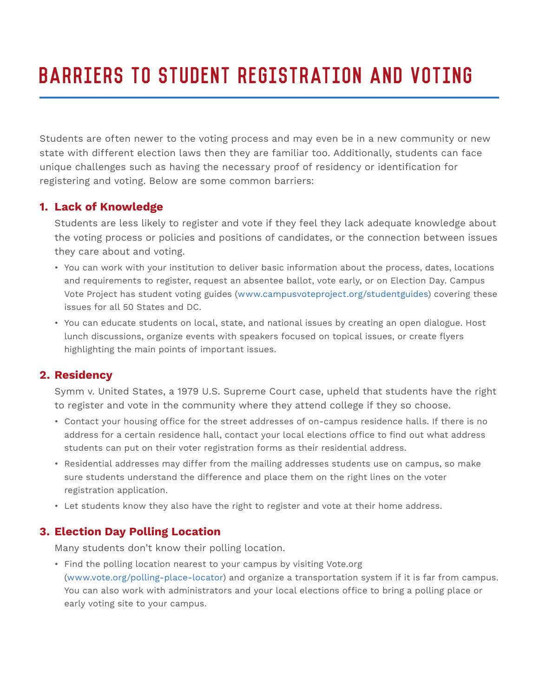# Barriers to Student Registration and Voting

Students are often newer to the voting process and may even be in a new community or new state with different election laws then they are familiar too. Additionally, students can face unique challenges such as having the necessary proof of residency or identification for registering and voting. Below are some common barriers:

## **1. Lack of Knowledge**

Students are less likely to register and vote if they feel they lack adequate knowledge about the voting process or policies and positions of candidates, or the connection between issues they care about and voting.

- You can work with your institution to deliver basic information about the process, dates, locations and requirements to register, request an absentee ballot, vote early, or on Election Day. Campus Vote Project has student voting guides (www.campusvoteproject.org/studentguides) covering these issues for all 50 States and DC.
- You can educate students on local, state, and national issues by creating an open dialogue. Host lunch discussions, organize events with speakers focused on topical issues, or create flyers highlighting the main points of important issues.

## **2. Residency**

Symm v. United States, a 1979 U.S. Supreme Court case, upheld that students have the right to register and vote in the community where they attend college if they so choose.

- Contact your housing office for the street addresses of on-campus residence halls. If there is no address for a certain residence hall, contact your local elections office to find out what address students can put on their voter registration forms as their residential address.
- Residential addresses may differ from the mailing addresses students use on campus, so make sure students understand the difference and place them on the right lines on the voter registration application.
- Let students know they also have the right to register and vote at their home address.

## **3. Election Day Polling Location**

Many students don't know their polling location.

• Find the polling location nearest to your campus by visiting Vote.org (www.vote.org/polling-place-locator) and organize a transportation system if it is far from campus. You can also work with administrators and your local elections office to bring a polling place or early voting site to your campus.